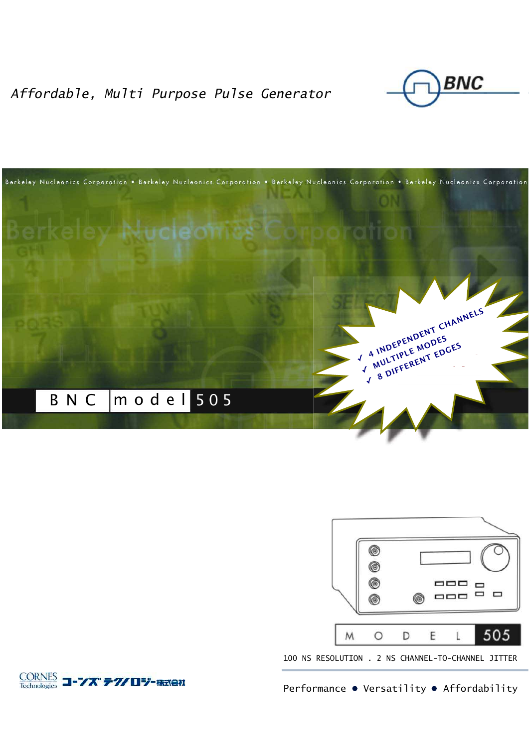Affordable, Multi Purpose Pulse Generator







100 NS RESOLUTION . 2 NS CHANNEL-TO-CHANNEL JITTER

**CORNES コーンズ テクノロジー 株式会社** 

Performance • Versatility • Affordability